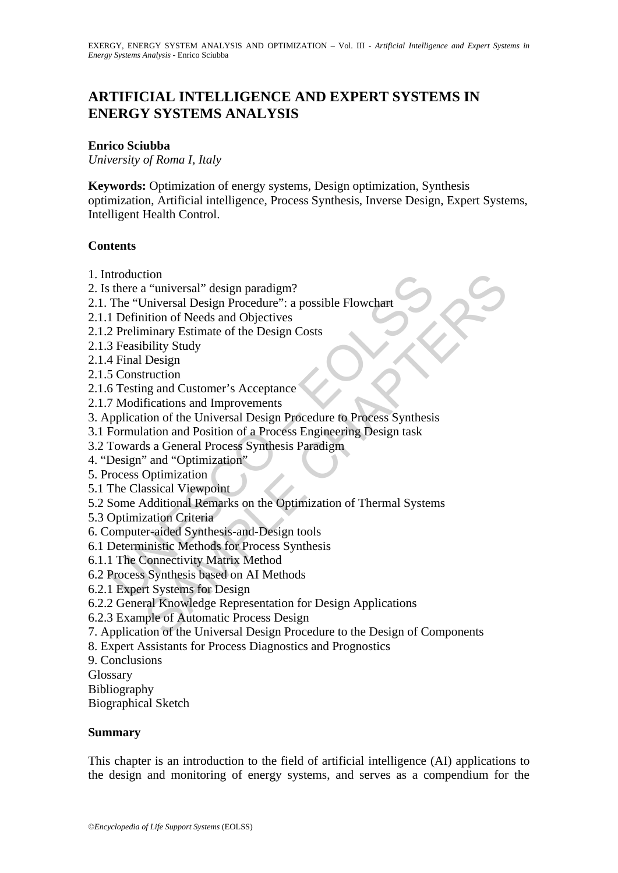# **ARTIFICIAL INTELLIGENCE AND EXPERT SYSTEMS IN ENERGY SYSTEMS ANALYSIS**

#### **Enrico Sciubba**

*University of Roma I, Italy*

**Keywords:** Optimization of energy systems, Design optimization, Synthesis optimization, Artificial intelligence, Process Synthesis, Inverse Design, Expert Systems, Intelligent Health Control.

#### **Contents**

- 1. Introduction
- 2. Is there a "universal" design paradigm?
- 2.1. The "Universal Design Procedure": a possible Flowchart
- 2.1.1 Definition of Needs and Objectives
- 2.1.2 Preliminary Estimate of the Design Costs
- 2.1.3 Feasibility Study
- 2.1.4 Final Design
- 2.1.5 Construction
- 2.1.6 Testing and Customer's Acceptance
- 2.1.7 Modifications and Improvements
- ntene a "universal" design paradigm?<br>
there a "universal Design Procedure": a possible Flowchart<br>
1 Definition of Needs and Objectives<br>
2 Preliminary Estimate of the Design Costs<br>
3 Feasibility Study<br>
4 Final Design<br>
6 Tes 3. Application of the Universal Design Procedure to Process Synthesis
- 3.1 Formulation and Position of a Process Engineering Design task
- 3.2 Towards a General Process Synthesis Paradigm
- 4. "Design" and "Optimization"
- 5. Process Optimization
- 5.1 The Classical Viewpoint
- 5.2 Some Additional Remarks on the Optimization of Thermal Systems
- 5.3 Optimization Criteria
- 6. Computer-aided Synthesis-and-Design tools
- 6.1 Deterministic Methods for Process Synthesis
- 6.1.1 The Connectivity Matrix Method
- 6.2 Process Synthesis based on AI Methods
- 6.2.1 Expert Systems for Design
- 6.2.2 General Knowledge Representation for Design Applications
- 6.2.3 Example of Automatic Process Design
- tion<br>
a "universal" design paradigm?<br>
a "universal Design Procedure": a possible Flowchart<br>
idion of Needs and Objectives<br>
bility Study<br>
Design<br>
Design<br>
Design<br>
muction<br>
Elections and Improvements<br>
fractions and Improvemen 7. Application of the Universal Design Procedure to the Design of Components
- 8. Expert Assistants for Process Diagnostics and Prognostics
- 9. Conclusions
- Glossary
- Bibliography

Biographical Sketch

#### **Summary**

This chapter is an introduction to the field of artificial intelligence (AI) applications to the design and monitoring of energy systems, and serves as a compendium for the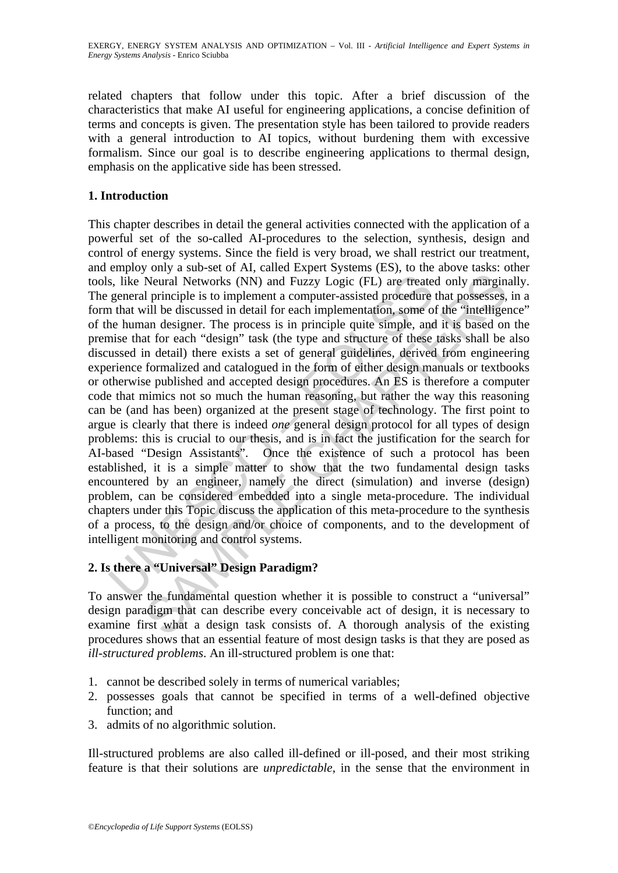related chapters that follow under this topic. After a brief discussion of the characteristics that make AI useful for engineering applications, a concise definition of terms and concepts is given. The presentation style has been tailored to provide readers with a general introduction to AI topics, without burdening them with excessive formalism. Since our goal is to describe engineering applications to thermal design, emphasis on the applicative side has been stressed.

#### **1. Introduction**

s, like Neural Networks (NN) and Fuzzy Logic (FL) are treate general principle is to implement a computer-assisted procedure in that will be discussed in detail for each implementation, some one he human designer. The proc Neural Networks (NN) and Fuzzy Logic (FL) are treated only marginal<br>Neural Networks (NN) and Fuzzy Logic (FL) are treated only marginal<br>principle is to implement a computer-assisted procedure that possesses,<br>will be discus This chapter describes in detail the general activities connected with the application of a powerful set of the so-called AI-procedures to the selection, synthesis, design and control of energy systems. Since the field is very broad, we shall restrict our treatment, and employ only a sub-set of AI, called Expert Systems (ES), to the above tasks: other tools, like Neural Networks (NN) and Fuzzy Logic (FL) are treated only marginally. The general principle is to implement a computer-assisted procedure that possesses, in a form that will be discussed in detail for each implementation, some of the "intelligence" of the human designer. The process is in principle quite simple, and it is based on the premise that for each "design" task (the type and structure of these tasks shall be also discussed in detail) there exists a set of general guidelines, derived from engineering experience formalized and catalogued in the form of either design manuals or textbooks or otherwise published and accepted design procedures. An ES is therefore a computer code that mimics not so much the human reasoning, but rather the way this reasoning can be (and has been) organized at the present stage of technology. The first point to argue is clearly that there is indeed *one* general design protocol for all types of design problems: this is crucial to our thesis, and is in fact the justification for the search for AI-based "Design Assistants". Once the existence of such a protocol has been established, it is a simple matter to show that the two fundamental design tasks encountered by an engineer, namely the direct (simulation) and inverse (design) problem, can be considered embedded into a single meta-procedure. The individual chapters under this Topic discuss the application of this meta-procedure to the synthesis of a process, to the design and/or choice of components, and to the development of intelligent monitoring and control systems.

# **2. Is there a "Universal" Design Paradigm?**

To answer the fundamental question whether it is possible to construct a "universal" design paradigm that can describe every conceivable act of design, it is necessary to examine first what a design task consists of. A thorough analysis of the existing procedures shows that an essential feature of most design tasks is that they are posed as *ill-structured problems*. An ill-structured problem is one that:

- 1. cannot be described solely in terms of numerical variables;
- 2. possesses goals that cannot be specified in terms of a well-defined objective function; and
- 3. admits of no algorithmic solution.

Ill-structured problems are also called ill-defined or ill-posed, and their most striking feature is that their solutions are *unpredictable*, in the sense that the environment in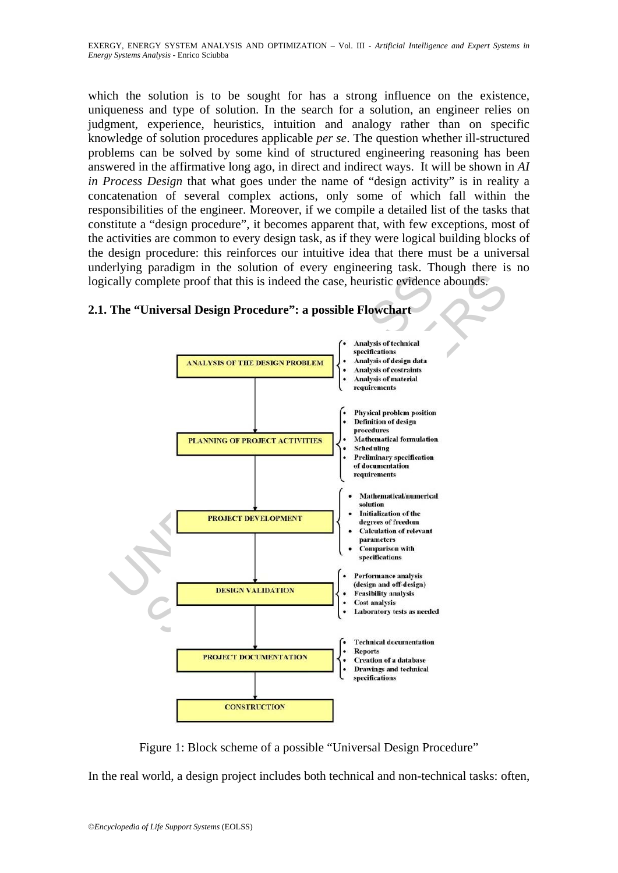which the solution is to be sought for has a strong influence on the existence, uniqueness and type of solution. In the search for a solution, an engineer relies on judgment, experience, heuristics, intuition and analogy rather than on specific knowledge of solution procedures applicable *per se*. The question whether ill-structured problems can be solved by some kind of structured engineering reasoning has been answered in the affirmative long ago, in direct and indirect ways. It will be shown in *AI in Process Design* that what goes under the name of "design activity" is in reality a concatenation of several complex actions, only some of which fall within the responsibilities of the engineer. Moreover, if we compile a detailed list of the tasks that constitute a "design procedure", it becomes apparent that, with few exceptions, most of the activities are common to every design task, as if they were logical building blocks of the design procedure: this reinforces our intuitive idea that there must be a universal underlying paradigm in the solution of every engineering task. Though there is no logically complete proof that this is indeed the case, heuristic evidence abounds.



# **2.1. The "Universal Design Procedure": a possible Flowchart**

Figure 1: Block scheme of a possible "Universal Design Procedure"

In the real world, a design project includes both technical and non-technical tasks: often,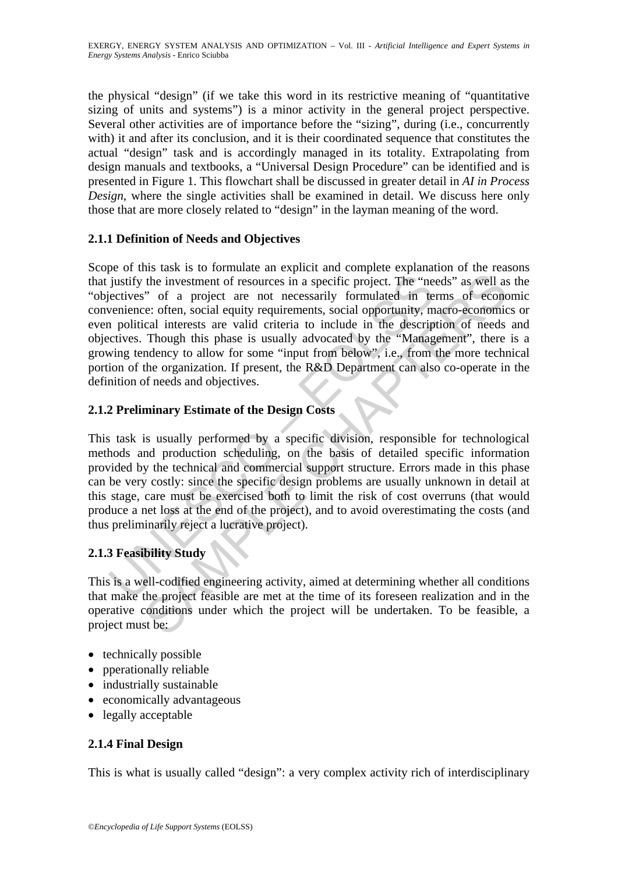the physical "design" (if we take this word in its restrictive meaning of "quantitative sizing of units and systems") is a minor activity in the general project perspective. Several other activities are of importance before the "sizing", during (i.e., concurrently with) it and after its conclusion, and it is their coordinated sequence that constitutes the actual "design" task and is accordingly managed in its totality. Extrapolating from design manuals and textbooks, a "Universal Design Procedure" can be identified and is presented in Figure 1. This flowchart shall be discussed in greater detail in *AI in Process Design*, where the single activities shall be examined in detail. We discuss here only those that are more closely related to "design" in the layman meaning of the word.

### **2.1.1 Definition of Needs and Objectives**

justify the investment of resources in a specific project. The "ne<br>justify the investment of resources in a specific project. The "ne<br>ectives" of a project are not necessarily formulated in te<br>venience: often, social equi the investment of resources in a specific project. The "needs" as well as<br>" of a project are not necessarily formulated in terms of econces."<br>" of a project are not necessarily formulated in terms of econces."<br>" of a proje Scope of this task is to formulate an explicit and complete explanation of the reasons that justify the investment of resources in a specific project. The "needs" as well as the "objectives" of a project are not necessarily formulated in terms of economic convenience: often, social equity requirements, social opportunity, macro-economics or even political interests are valid criteria to include in the description of needs and objectives. Though this phase is usually advocated by the "Management", there is a growing tendency to allow for some "input from below", i.e., from the more technical portion of the organization. If present, the R&D Department can also co-operate in the definition of needs and objectives.

### **2.1.2 Preliminary Estimate of the Design Costs**

This task is usually performed by a specific division, responsible for technological methods and production scheduling, on the basis of detailed specific information provided by the technical and commercial support structure. Errors made in this phase can be very costly: since the specific design problems are usually unknown in detail at this stage, care must be exercised both to limit the risk of cost overruns (that would produce a net loss at the end of the project), and to avoid overestimating the costs (and thus preliminarily reject a lucrative project).

#### **2.1.3 Feasibility Study**

This is a well-codified engineering activity, aimed at determining whether all conditions that make the project feasible are met at the time of its foreseen realization and in the operative conditions under which the project will be undertaken. To be feasible, a project must be:

- technically possible
- pperationally reliable
- industrially sustainable
- economically advantageous
- legally acceptable

# **2.1.4 Final Design**

This is what is usually called "design": a very complex activity rich of interdisciplinary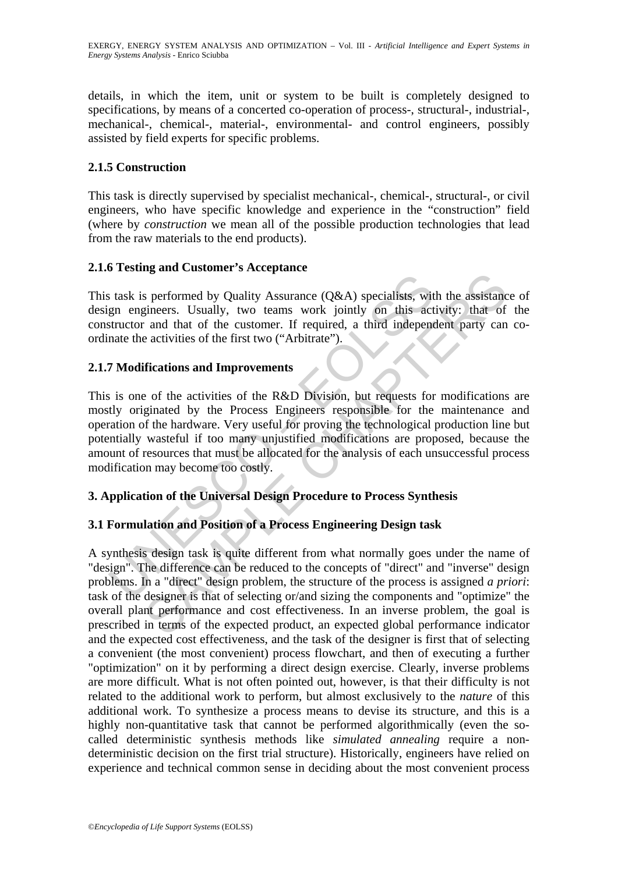details, in which the item, unit or system to be built is completely designed to specifications, by means of a concerted co-operation of process-, structural-, industrial-, mechanical-, chemical-, material-, environmental- and control engineers, possibly assisted by field experts for specific problems.

### **2.1.5 Construction**

This task is directly supervised by specialist mechanical-, chemical-, structural-, or civil engineers, who have specific knowledge and experience in the "construction" field (where by *construction* we mean all of the possible production technologies that lead from the raw materials to the end products).

### **2.1.6 Testing and Customer's Acceptance**

This task is performed by Quality Assurance (Q&A) specialists, with the assistance of design engineers. Usually, two teams work jointly on this activity: that of the constructor and that of the customer. If required, a third independent party can coordinate the activities of the first two ("Arbitrate").

### **2.1.7 Modifications and Improvements**

s task is performed by Quality Assurance  $(Q&A)$  specialists, wit<br>gn engineers. Usually, two teams work jointly on this act<br>structor and that of the customer. If required, a third independ<br>aate the activities of the first This is one of the activities of the R&D Division, but requests for modifications are mostly originated by the Process Engineers responsible for the maintenance and operation of the hardware. Very useful for proving the technological production line but potentially wasteful if too many unjustified modifications are proposed, because the amount of resources that must be allocated for the analysis of each unsuccessful process modification may become too costly.

# **3. Application of the Universal Design Procedure to Process Synthesis**

# **3.1 Formulation and Position of a Process Engineering Design task**

**Example 19 Consumption**<br>
Superiormed by Quality Assurance (Q&A) specialists, with the assistance radiation of the customer. If required, a third independent party can<br>
and that of the customer. If required, a third indep A synthesis design task is quite different from what normally goes under the name of "design". The difference can be reduced to the concepts of "direct" and "inverse" design problems. In a "direct" design problem, the structure of the process is assigned *a priori*: task of the designer is that of selecting or/and sizing the components and "optimize" the overall plant performance and cost effectiveness. In an inverse problem, the goal is prescribed in terms of the expected product, an expected global performance indicator and the expected cost effectiveness, and the task of the designer is first that of selecting a convenient (the most convenient) process flowchart, and then of executing a further "optimization" on it by performing a direct design exercise. Clearly, inverse problems are more difficult. What is not often pointed out, however, is that their difficulty is not related to the additional work to perform, but almost exclusively to the *nature* of this additional work. To synthesize a process means to devise its structure, and this is a highly non-quantitative task that cannot be performed algorithmically (even the socalled deterministic synthesis methods like *simulated annealing* require a nondeterministic decision on the first trial structure). Historically, engineers have relied on experience and technical common sense in deciding about the most convenient process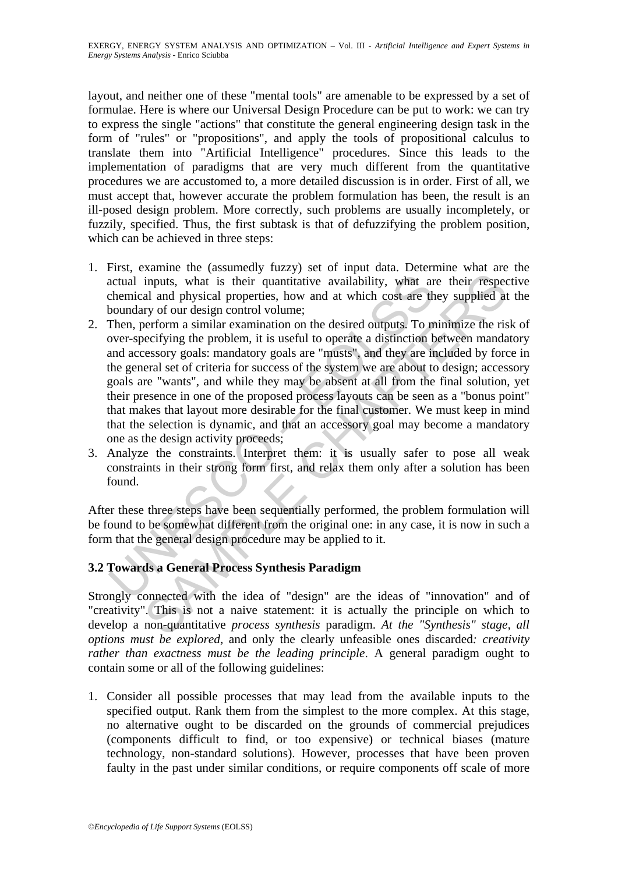layout, and neither one of these "mental tools" are amenable to be expressed by a set of formulae. Here is where our Universal Design Procedure can be put to work: we can try to express the single "actions" that constitute the general engineering design task in the form of "rules" or "propositions", and apply the tools of propositional calculus to translate them into "Artificial Intelligence" procedures. Since this leads to the implementation of paradigms that are very much different from the quantitative procedures we are accustomed to, a more detailed discussion is in order. First of all, we must accept that, however accurate the problem formulation has been, the result is an ill-posed design problem. More correctly, such problems are usually incompletely, or fuzzily, specified. Thus, the first subtask is that of defuzzifying the problem position, which can be achieved in three steps:

- 1. First, examine the (assumedly fuzzy) set of input data. Determine what are the actual inputs, what is their quantitative availability, what are their respective chemical and physical properties, how and at which cost are they supplied at the boundary of our design control volume;
- actual inputs, what is their quantitative availability, what are<br>chemical and physical properties, how and at which cost are th<br>boundary of our design control volume;<br>Then, perform a similar examination on the desired outp inputs, what is their quantitative availability, what are their respected and physical properties, how and at which cost are they supplied at properties and physical properties, how and at which cost are they supplied at p 2. Then, perform a similar examination on the desired outputs. To minimize the risk of over-specifying the problem, it is useful to operate a distinction between mandatory and accessory goals: mandatory goals are "musts", and they are included by force in the general set of criteria for success of the system we are about to design; accessory goals are "wants", and while they may be absent at all from the final solution, yet their presence in one of the proposed process layouts can be seen as a "bonus point" that makes that layout more desirable for the final customer. We must keep in mind that the selection is dynamic, and that an accessory goal may become a mandatory one as the design activity proceeds;
- 3. Analyze the constraints. Interpret them: it is usually safer to pose all weak constraints in their strong form first, and relax them only after a solution has been found.

After these three steps have been sequentially performed, the problem formulation will be found to be somewhat different from the original one: in any case, it is now in such a form that the general design procedure may be applied to it.

#### **3.2 Towards a General Process Synthesis Paradigm**

Strongly connected with the idea of "design" are the ideas of "innovation" and of "creativity". This is not a naive statement: it is actually the principle on which to develop a non-quantitative *process synthesis* paradigm. *At the "Synthesis" stage, all options must be explored*, and only the clearly unfeasible ones discarded*: creativity rather than exactness must be the leading principle*. A general paradigm ought to contain some or all of the following guidelines:

1. Consider all possible processes that may lead from the available inputs to the specified output. Rank them from the simplest to the more complex. At this stage, no alternative ought to be discarded on the grounds of commercial prejudices (components difficult to find, or too expensive) or technical biases (mature technology, non-standard solutions). However, processes that have been proven faulty in the past under similar conditions, or require components off scale of more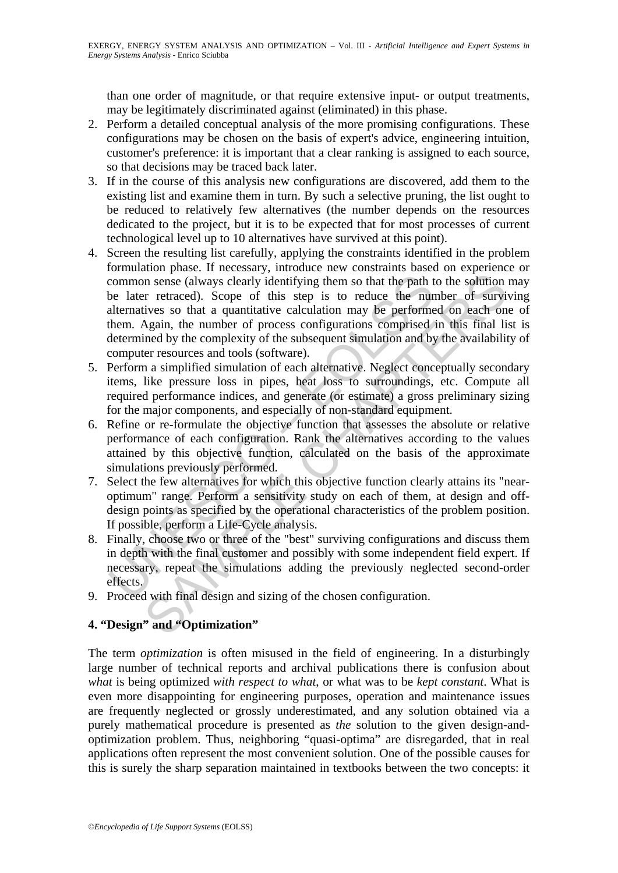than one order of magnitude, or that require extensive input- or output treatments, may be legitimately discriminated against (eliminated) in this phase.

- 2. Perform a detailed conceptual analysis of the more promising configurations. These configurations may be chosen on the basis of expert's advice, engineering intuition, customer's preference: it is important that a clear ranking is assigned to each source, so that decisions may be traced back later.
- 3. If in the course of this analysis new configurations are discovered, add them to the existing list and examine them in turn. By such a selective pruning, the list ought to be reduced to relatively few alternatives (the number depends on the resources dedicated to the project, but it is to be expected that for most processes of current technological level up to 10 alternatives have survived at this point).
- common sense (always clearly identifying them so that the path the later retraced). Scope of this step is to reduce the nural<br>termatives so that a quantitative calculation may be performed<br>thermined by the complexity of th In sense (always clearly identifying them so that the path to the solution<br>in sense (always clearly identifying them so that the path to the solution<br>in retraced). Scope of this step is to reduce the number of survives<br>s o 4. Screen the resulting list carefully, applying the constraints identified in the problem formulation phase. If necessary, introduce new constraints based on experience or common sense (always clearly identifying them so that the path to the solution may be later retraced). Scope of this step is to reduce the number of surviving alternatives so that a quantitative calculation may be performed on each one of them. Again, the number of process configurations comprised in this final list is determined by the complexity of the subsequent simulation and by the availability of computer resources and tools (software).
- 5. Perform a simplified simulation of each alternative. Neglect conceptually secondary items, like pressure loss in pipes, heat loss to surroundings, etc. Compute all required performance indices, and generate (or estimate) a gross preliminary sizing for the major components, and especially of non-standard equipment.
- 6. Refine or re-formulate the objective function that assesses the absolute or relative performance of each configuration. Rank the alternatives according to the values attained by this objective function, calculated on the basis of the approximate simulations previously performed.
- 7. Select the few alternatives for which this objective function clearly attains its "nearoptimum" range. Perform a sensitivity study on each of them, at design and offdesign points as specified by the operational characteristics of the problem position. If possible, perform a Life-Cycle analysis.
- 8. Finally, choose two or three of the "best" surviving configurations and discuss them in depth with the final customer and possibly with some independent field expert. If necessary, repeat the simulations adding the previously neglected second-order effects.
- 9. Proceed with final design and sizing of the chosen configuration.

#### **4. "Design" and "Optimization"**

The term *optimization* is often misused in the field of engineering. In a disturbingly large number of technical reports and archival publications there is confusion about *what* is being optimized *with respect to what*, or what was to be *kept constant*. What is even more disappointing for engineering purposes, operation and maintenance issues are frequently neglected or grossly underestimated, and any solution obtained via a purely mathematical procedure is presented as *the* solution to the given design-andoptimization problem. Thus, neighboring "quasi-optima" are disregarded, that in real applications often represent the most convenient solution. One of the possible causes for this is surely the sharp separation maintained in textbooks between the two concepts: it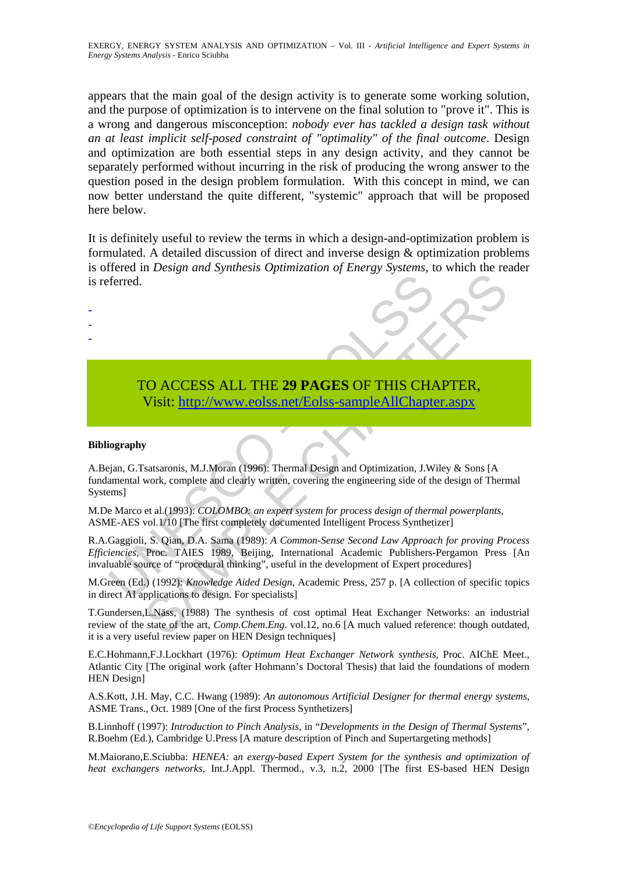appears that the main goal of the design activity is to generate some working solution, and the purpose of optimization is to intervene on the final solution to "prove it". This is a wrong and dangerous misconception: *nobody ever has tackled a design task without an at least implicit self-posed constraint of "optimality" of the final outcome*. Design and optimization are both essential steps in any design activity, and they cannot be separately performed without incurring in the risk of producing the wrong answer to the question posed in the design problem formulation. With this concept in mind, we can now better understand the quite different, "systemic" approach that will be proposed here below.

It is definitely useful to review the terms in which a design-and-optimization problem is formulated. A detailed discussion of direct and inverse design & optimization problems is offered in *Design and Synthesis Optimization of Energy Systems*, to which the reader is referred.

# TO ACCESS ALL THE **29 PAGES** OF THIS CHAPTER, Visit: http://www.eolss.net/Eolss-sampleAllChapter.aspx

#### **Bibliography**

- - -

Terred.<br>
TO ACCESS ALL THE 29 PAGES OF THIS CHA<br>
Visit: http://www.eolss.net/Eolss-sampleAllChapte<br>
igian, G.Tsatsaronis, M.J.Moran (1996): Thermal Design and Optimization, J.W<br>
immal<br>
amental work, complete and clearly wr To ACCESS ALL THE 29 PAGES OF THIS C[HAP](https://www.eolss.net/ebooklib/sc_cart.aspx?File=E3-19-04-00)TER,<br>
Visit: http://www.eolss.net/Eolss-sampleAllChapter.aspx<br>
y<br>
y<br>
y<br>
statsaronis, M.J.Moran (1996): Thermal Design and Optimization, J.Wiley & Sons [A<br>
y<br>
statsaronis, M.J.Moran (1 A.Bejan, G.Tsatsaronis, M.J.Moran (1996): Thermal Design and Optimization, J.Wiley & Sons [A fundamental work, complete and clearly written, covering the engineering side of the design of Thermal Systems]

M.De Marco et al.(1993): *COLOMBO: an expert system for process design of thermal powerplants*, ASME-AES vol.1/10 [The first completely documented Intelligent Process Synthetizer]

R.A.Gaggioli, S. Qian, D.A. Sama (1989): *A Common-Sense Second Law Approach for proving Process Efficiencies*, Proc. TAIES 1989, Beijing, International Academic Publishers-Pergamon Press [An invaluable source of "procedural thinking", useful in the development of Expert procedures]

M.Green (Ed.) (1992): *Knowledge Aided Design*, Academic Press, 257 p. [A collection of specific topics in direct AI applications to design. For specialists]

T.Gundersen,L.Näss, (1988) The synthesis of cost optimal Heat Exchanger Networks: an industrial review of the state of the art, *Comp.Chem.Eng*. vol.12, no.6 [A much valued reference: though outdated, it is a very useful review paper on HEN Design techniques]

E.C.Hohmann,F.J.Lockhart (1976): *Optimum Heat Exchanger Network synthesis*, Proc. AIChE Meet., Atlantic City [The original work (after Hohmann's Doctoral Thesis) that laid the foundations of modern HEN Design]

A.S.Kott, J.H. May, C.C. Hwang (1989): *An autonomous Artificial Designer for thermal energy systems*, ASME Trans., Oct. 1989 [One of the first Process Synthetizers]

B.Linnhoff (1997): *Introduction to Pinch Analysis*, in "*Developments in the Design of Thermal Systems*", R.Boehm (Ed.), Cambridge U.Press [A mature description of Pinch and Supertargeting methods]

M.Maiorano,E.Sciubba: *HENEA:* a*n exergy-based Expert System for the synthesis and optimization of heat exchangers networks*, Int.J.Appl. Thermod., v.3, n.2, 2000 [The first ES-based HEN Design